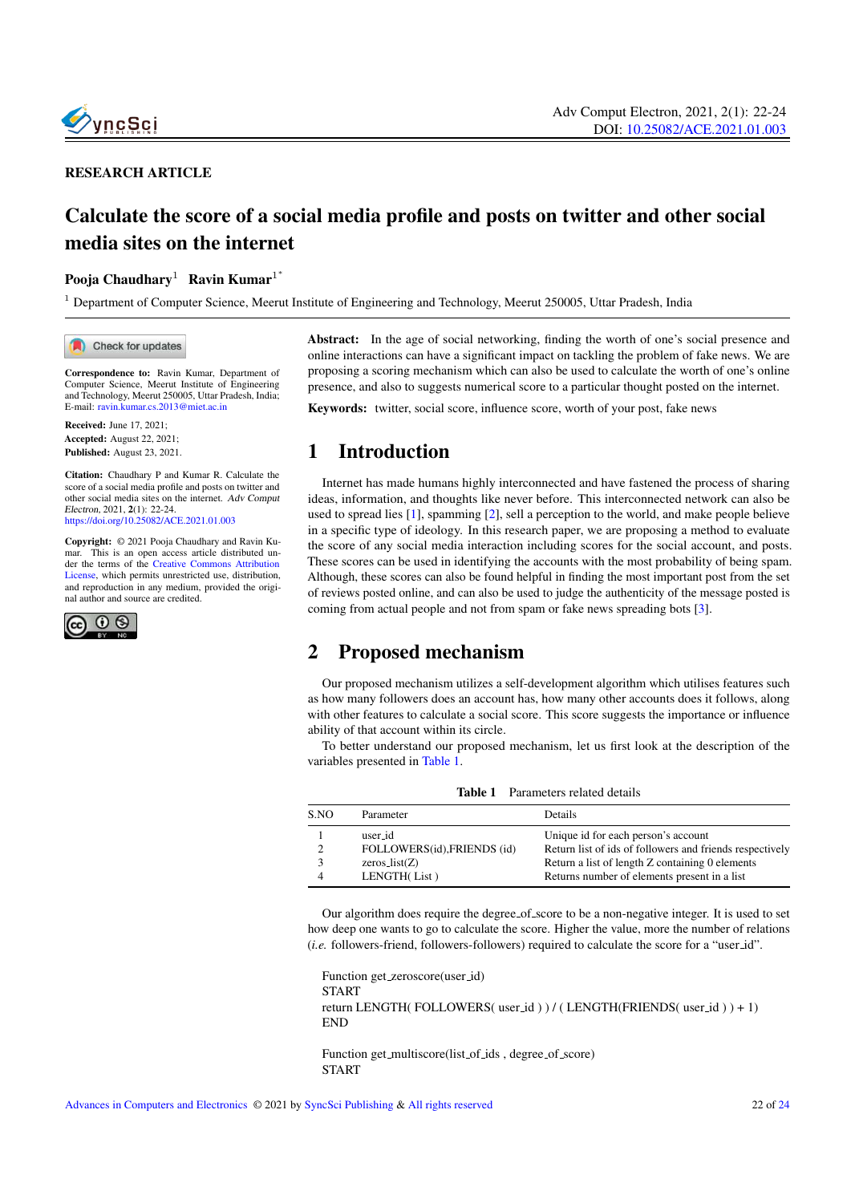

#### RESEARCH ARTICLE

# Calculate the score of a social media profile and posts on twitter and other social media sites on the internet

#### Pooja Chaudhary $^1$  Ravin Kumar $^{\rm 1^{\ast}}$

 $1$  Department of Computer Science, Meerut Institute of Engineering and Technology, Meerut 250005, Uttar Pradesh, India

Check for updates

Correspondence to: Ravin Kumar, Department of Computer Science, Meerut Institute of Engineering and Technology, Meerut 250005, Uttar Pradesh, India; E-mail: <ravin.kumar.cs.2013@miet.ac.in>

Received: June 17, 2021; Accepted: August 22, 2021; Published: August 23, 2021.

Citation: Chaudhary P and Kumar R. Calculate the score of a social media profile and posts on twitter and other social media sites on the internet. Adv Comput Electron, 2021, 2(1): 22-24. <https://doi.org/10.25082/ACE.2021.01.003>

Copyright: © 2021 Pooja Chaudhary and Ravin Kumar. This is an open access article distributed under the terms of the [Creative Commons Attribution](https://creativecommons.org/licenses/by/4.0/) [License,](https://creativecommons.org/licenses/by/4.0/) which permits unrestricted use, distribution, and reproduction in any medium, provided the original author and source are credited.



Abstract: In the age of social networking, finding the worth of one's social presence and online interactions can have a significant impact on tackling the problem of fake news. We are proposing a scoring mechanism which can also be used to calculate the worth of one's online presence, and also to suggests numerical score to a particular thought posted on the internet.

Keywords: twitter, social score, influence score, worth of your post, fake news

## 1 Introduction

Internet has made humans highly interconnected and have fastened the process of sharing ideas, information, and thoughts like never before. This interconnected network can also be used to spread lies [\[1\]](#page-2-0), spamming [\[2\]](#page-2-1), sell a perception to the world, and make people believe in a specific type of ideology. In this research paper, we are proposing a method to evaluate the score of any social media interaction including scores for the social account, and posts. These scores can be used in identifying the accounts with the most probability of being spam. Although, these scores can also be found helpful in finding the most important post from the set of reviews posted online, and can also be used to judge the authenticity of the message posted is coming from actual people and not from spam or fake news spreading bots [\[3\]](#page-2-2).

## 2 Proposed mechanism

Our proposed mechanism utilizes a self-development algorithm which utilises features such as how many followers does an account has, how many other accounts does it follows, along with other features to calculate a social score. This score suggests the importance or influence ability of that account within its circle.

To better understand our proposed mechanism, let us first look at the description of the variables presented in [Table 1.](#page-0-0)

<span id="page-0-0"></span>

| <b>Table 1</b> Parameters related details |                             |                                                          |  |  |
|-------------------------------------------|-----------------------------|----------------------------------------------------------|--|--|
| S.NO                                      | Parameter                   | <b>Details</b>                                           |  |  |
|                                           | user id                     | Unique id for each person's account                      |  |  |
| $\overline{c}$                            | FOLLOWERS(id), FRIENDS (id) | Return list of ids of followers and friends respectively |  |  |
| 3                                         | $zeros\_list(Z)$            | Return a list of length Z containing 0 elements          |  |  |
| 4                                         | LENGTH(List)                | Returns number of elements present in a list             |  |  |

Our algorithm does require the degree\_of\_score to be a non-negative integer. It is used to set how deep one wants to go to calculate the score. Higher the value, more the number of relations (*i.e.* followers-friend, followers-followers) required to calculate the score for a "user id".

Function get zeroscore(user id) START return LENGTH(FOLLOWERS( user\_id ) ) / ( LENGTH(FRIENDS( user\_id ) ) + 1) END

Function get\_multiscore(list\_of\_ids, degree\_of\_score) START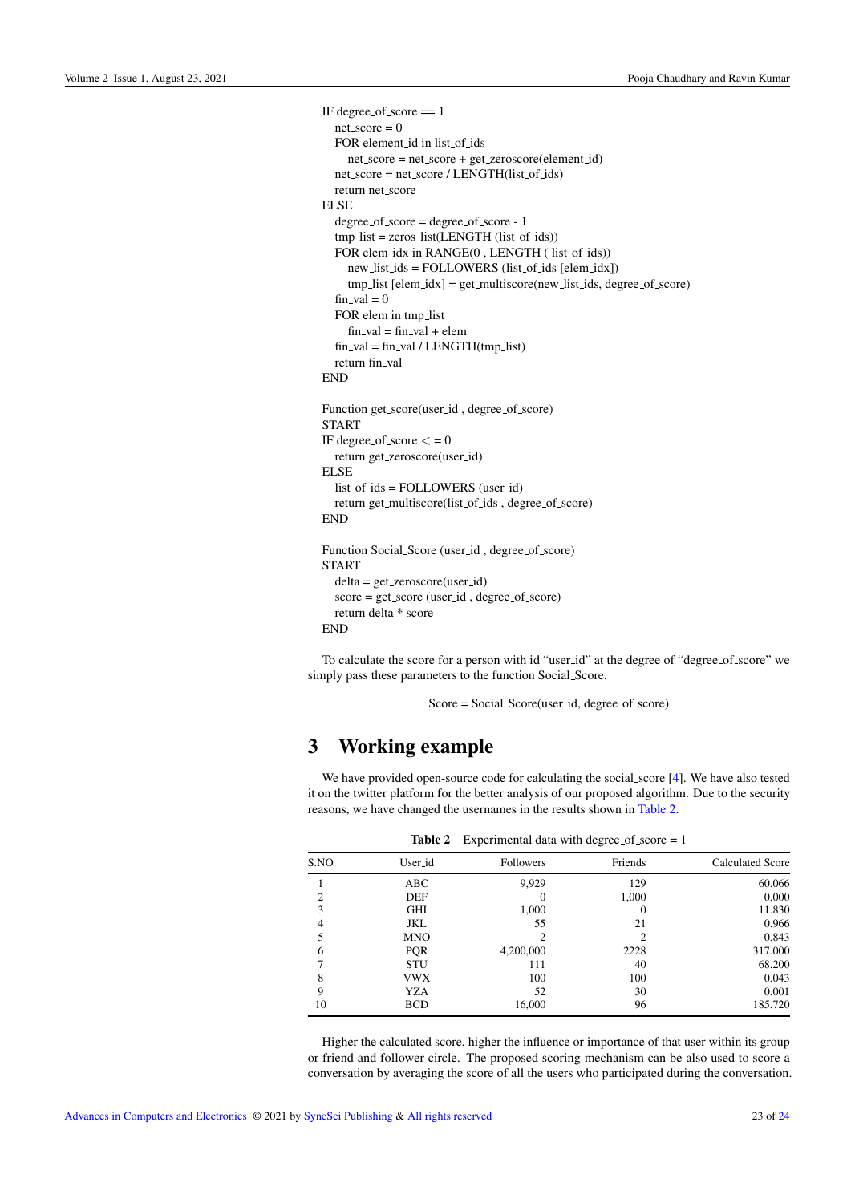```
IF degree of score == 1
  net\_score = 0FOR element id in list of ids
    net score = net score + get zeroscore(element id)
  net_score = net_score / LENGTH(list_of_ids)
  return net score
ELSE
  degree of score = degree of score - 1
  tmp_list = zeros_list(LENGTH (list_of_ids))FOR elem_idx in RANGE(0, LENGTH (list_of_ids))
    new_list\_ids = FOLLOWERS (list_of_ids [elem_idx])
    tmp_list [elem_idx] = get\_multiscore(new_list_ids, degree_of_score)fin\_val = 0FOR elem in tmp list
     fin_val = fin_val + elemfin_val = fin_val / LENGTH(tmp_list)return fin_val
END
Function get_score(user_id, degree_of_score)
START
IF degree of score \lt = 0
  return get zeroscore(user id)
ELSE
  list of ids = FOLLOWERS (user id)
  return get_multiscore(list_of_ids, degree_of_score)
END
Function Social_Score (user_id, degree_of_score)
START
  delta = get zeroscore(user id)
  score = get_score (user _id, degree of_score)
  return delta * score
END
```
To calculate the score for a person with id "user id" at the degree of "degree of score" we simply pass these parameters to the function Social Score.

 $Score = Social_score(user_id, degree_of_score)$ 

### 3 Working example

We have provided open-source code for calculating the social score [\[4\]](#page-2-4). We have also tested it on the twitter platform for the better analysis of our proposed algorithm. Due to the security reasons, we have changed the usernames in the results shown in [Table 2.](#page-1-0)

<span id="page-1-0"></span>

| Table 2<br>$\mu$ experimental data with degree of score $= 1$ |           |         |                         |
|---------------------------------------------------------------|-----------|---------|-------------------------|
| User_id                                                       | Followers | Friends | <b>Calculated Score</b> |
| ABC                                                           | 9.929     | 129     | 60.066                  |
| DEF                                                           | 0         | 1.000   | 0.000                   |
| <b>GHI</b>                                                    | 1,000     |         | 11.830                  |
| JKL                                                           | 55        | 21      | 0.966                   |
| <b>MNO</b>                                                    |           |         | 0.843                   |
| <b>PQR</b>                                                    | 4,200,000 | 2228    | 317.000                 |
| <b>STU</b>                                                    | 111       | 40      | 68.200                  |
| <b>VWX</b>                                                    | 100       | 100     | 0.043                   |
| YZA                                                           | 52        | 30      | 0.001                   |
| <b>BCD</b>                                                    | 16,000    | 96      | 185.720                 |
|                                                               |           |         |                         |

 $T$  Experimental data with degree of score  $T$ 

Higher the calculated score, higher the influence or importance of that user within its group or friend and follower circle. The proposed scoring mechanism can be also used to score a conversation by averaging the score of all the users who participated during the conversation.